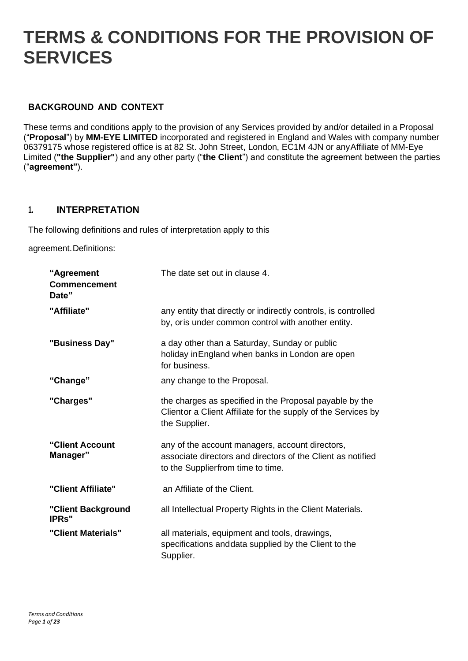# **TERMS & CONDITIONS FOR THE PROVISION OF SERVICES**

# **BACKGROUND AND CONTEXT**

These terms and conditions apply to the provision of any Services provided by and/or detailed in a Proposal ("**Proposal**") by **MM-EYE LIMITED** incorporated and registered in England and Wales with company number 06379175 whose registered office is at 82 St. John Street, London, EC1M 4JN or anyAffiliate of MM-Eye Limited (**"the Supplier"**) and any other party ("**the Client**") and constitute the agreement between the parties ("**agreement"**).

#### **1. INTERPRETATION**

The following definitions and rules of interpretation apply to this

agreement.Definitions:

| "Agreement<br><b>Commencement</b><br>Date" | The date set out in clause 4.                                                                                                                       |
|--------------------------------------------|-----------------------------------------------------------------------------------------------------------------------------------------------------|
| "Affiliate"                                | any entity that directly or indirectly controls, is controlled<br>by, oris under common control with another entity.                                |
| "Business Day"                             | a day other than a Saturday, Sunday or public<br>holiday in England when banks in London are open<br>for business.                                  |
| "Change"                                   | any change to the Proposal.                                                                                                                         |
| "Charges"                                  | the charges as specified in the Proposal payable by the<br>Clientor a Client Affiliate for the supply of the Services by<br>the Supplier.           |
| "Client Account<br>Manager"                | any of the account managers, account directors,<br>associate directors and directors of the Client as notified<br>to the Supplierfrom time to time. |
| "Client Affiliate"                         | an Affiliate of the Client.                                                                                                                         |
| "Client Background<br><b>IPRs</b> "        | all Intellectual Property Rights in the Client Materials.                                                                                           |
| "Client Materials"                         | all materials, equipment and tools, drawings,<br>specifications and data supplied by the Client to the<br>Supplier.                                 |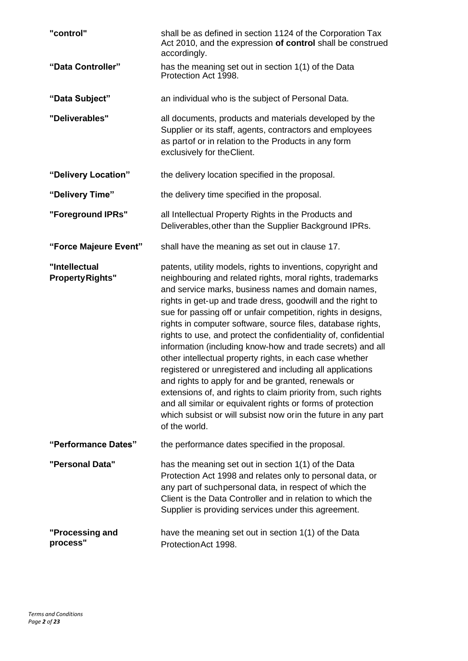| "control"                               | shall be as defined in section 1124 of the Corporation Tax<br>Act 2010, and the expression of control shall be construed<br>accordingly.                                                                                                                                                                                                                                                                                                                                                                                                                                                                                                                                                                                                                                                                                                                                                                           |
|-----------------------------------------|--------------------------------------------------------------------------------------------------------------------------------------------------------------------------------------------------------------------------------------------------------------------------------------------------------------------------------------------------------------------------------------------------------------------------------------------------------------------------------------------------------------------------------------------------------------------------------------------------------------------------------------------------------------------------------------------------------------------------------------------------------------------------------------------------------------------------------------------------------------------------------------------------------------------|
| "Data Controller"                       | has the meaning set out in section 1(1) of the Data<br>Protection Act 1998.                                                                                                                                                                                                                                                                                                                                                                                                                                                                                                                                                                                                                                                                                                                                                                                                                                        |
| "Data Subject"                          | an individual who is the subject of Personal Data.                                                                                                                                                                                                                                                                                                                                                                                                                                                                                                                                                                                                                                                                                                                                                                                                                                                                 |
| "Deliverables"                          | all documents, products and materials developed by the<br>Supplier or its staff, agents, contractors and employees<br>as partof or in relation to the Products in any form<br>exclusively for theClient.                                                                                                                                                                                                                                                                                                                                                                                                                                                                                                                                                                                                                                                                                                           |
| "Delivery Location"                     | the delivery location specified in the proposal.                                                                                                                                                                                                                                                                                                                                                                                                                                                                                                                                                                                                                                                                                                                                                                                                                                                                   |
| "Delivery Time"                         | the delivery time specified in the proposal.                                                                                                                                                                                                                                                                                                                                                                                                                                                                                                                                                                                                                                                                                                                                                                                                                                                                       |
| "Foreground IPRs"                       | all Intellectual Property Rights in the Products and<br>Deliverables, other than the Supplier Background IPRs.                                                                                                                                                                                                                                                                                                                                                                                                                                                                                                                                                                                                                                                                                                                                                                                                     |
| "Force Majeure Event"                   | shall have the meaning as set out in clause 17.                                                                                                                                                                                                                                                                                                                                                                                                                                                                                                                                                                                                                                                                                                                                                                                                                                                                    |
| "Intellectual<br><b>PropertyRights"</b> | patents, utility models, rights to inventions, copyright and<br>neighbouring and related rights, moral rights, trademarks<br>and service marks, business names and domain names,<br>rights in get-up and trade dress, goodwill and the right to<br>sue for passing off or unfair competition, rights in designs,<br>rights in computer software, source files, database rights,<br>rights to use, and protect the confidentiality of, confidential<br>information (including know-how and trade secrets) and all<br>other intellectual property rights, in each case whether<br>registered or unregistered and including all applications<br>and rights to apply for and be granted, renewals or<br>extensions of, and rights to claim priority from, such rights<br>and all similar or equivalent rights or forms of protection<br>which subsist or will subsist now orin the future in any part<br>of the world. |
| "Performance Dates"                     | the performance dates specified in the proposal.                                                                                                                                                                                                                                                                                                                                                                                                                                                                                                                                                                                                                                                                                                                                                                                                                                                                   |
| "Personal Data"                         | has the meaning set out in section 1(1) of the Data<br>Protection Act 1998 and relates only to personal data, or<br>any part of suchpersonal data, in respect of which the<br>Client is the Data Controller and in relation to which the<br>Supplier is providing services under this agreement.                                                                                                                                                                                                                                                                                                                                                                                                                                                                                                                                                                                                                   |
| "Processing and<br>process"             | have the meaning set out in section 1(1) of the Data<br>ProtectionAct 1998.                                                                                                                                                                                                                                                                                                                                                                                                                                                                                                                                                                                                                                                                                                                                                                                                                                        |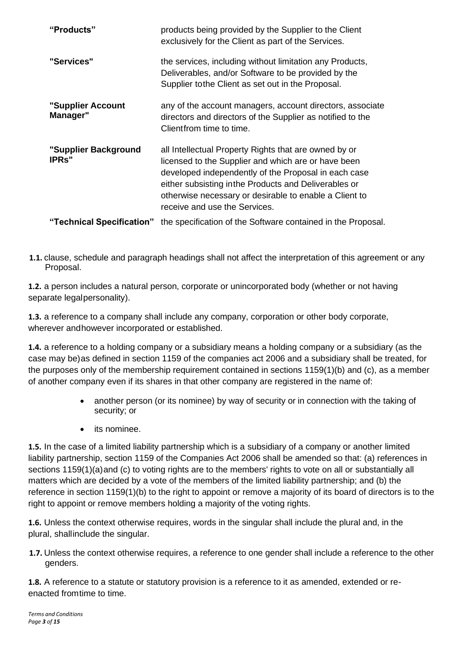| "Products"                            | products being provided by the Supplier to the Client<br>exclusively for the Client as part of the Services.                                                                                                                                                                                                             |
|---------------------------------------|--------------------------------------------------------------------------------------------------------------------------------------------------------------------------------------------------------------------------------------------------------------------------------------------------------------------------|
| "Services"                            | the services, including without limitation any Products,<br>Deliverables, and/or Software to be provided by the<br>Supplier to the Client as set out in the Proposal.                                                                                                                                                    |
| "Supplier Account<br>Manager"         | any of the account managers, account directors, associate<br>directors and directors of the Supplier as notified to the<br>Clientfrom time to time.                                                                                                                                                                      |
| "Supplier Background<br><b>IPRs</b> " | all Intellectual Property Rights that are owned by or<br>licensed to the Supplier and which are or have been<br>developed independently of the Proposal in each case<br>either subsisting in the Products and Deliverables or<br>otherwise necessary or desirable to enable a Client to<br>receive and use the Services. |
| "Technical Specification"             | the specification of the Software contained in the Proposal.                                                                                                                                                                                                                                                             |

**1.1.** clause, schedule and paragraph headings shall not affect the interpretation of this agreement or any Proposal.

**1.2.** a person includes a natural person, corporate or unincorporated body (whether or not having separate legalpersonality).

**1.3.** a reference to a company shall include any company, corporation or other body corporate, wherever andhowever incorporated or established.

**1.4.** a reference to a holding company or a subsidiary means a holding company or a subsidiary (as the case may be)as defined in section 1159 of the companies act 2006 and a subsidiary shall be treated, for the purposes only of the membership requirement contained in sections 1159(1)(b) and (c), as a member of another company even if its shares in that other company are registered in the name of:

- another person (or its nominee) by way of security or in connection with the taking of security; or
- its nominee.

**1.5.** In the case of a limited liability partnership which is a subsidiary of a company or another limited liability partnership, section 1159 of the Companies Act 2006 shall be amended so that: (a) references in sections 1159(1)(a)and (c) to voting rights are to the members' rights to vote on all or substantially all matters which are decided by a vote of the members of the limited liability partnership; and (b) the reference in section 1159(1)(b) to the right to appoint or remove a majority of its board of directors is to the right to appoint or remove members holding a majority of the voting rights.

**1.6.** Unless the context otherwise requires, words in the singular shall include the plural and, in the plural, shallinclude the singular.

**1.7.** Unless the context otherwise requires, a reference to one gender shall include a reference to the other genders.

**1.8.** A reference to a statute or statutory provision is a reference to it as amended, extended or reenacted fromtime to time.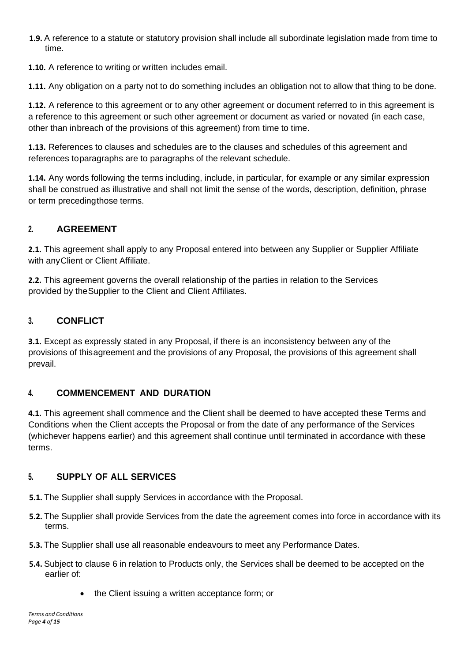**1.9.** A reference to a statute or statutory provision shall include all subordinate legislation made from time to time.

**1.10.** A reference to writing or written includes email.

**1.11.** Any obligation on a party not to do something includes an obligation not to allow that thing to be done.

**1.12.** A reference to this agreement or to any other agreement or document referred to in this agreement is a reference to this agreement or such other agreement or document as varied or novated (in each case, other than inbreach of the provisions of this agreement) from time to time.

**1.13.** References to clauses and schedules are to the clauses and schedules of this agreement and references toparagraphs are to paragraphs of the relevant schedule.

**1.14.** Any words following the terms including, include, in particular, for example or any similar expression shall be construed as illustrative and shall not limit the sense of the words, description, definition, phrase or term precedingthose terms.

#### **2. AGREEMENT**

**2.1.** This agreement shall apply to any Proposal entered into between any Supplier or Supplier Affiliate with anyClient or Client Affiliate.

**2.2.** This agreement governs the overall relationship of the parties in relation to the Services provided by theSupplier to the Client and Client Affiliates.

# **3. CONFLICT**

**3.1.** Except as expressly stated in any Proposal, if there is an inconsistency between any of the provisions of thisagreement and the provisions of any Proposal, the provisions of this agreement shall prevail.

#### **4. COMMENCEMENT AND DURATION**

**4.1.** This agreement shall commence and the Client shall be deemed to have accepted these Terms and Conditions when the Client accepts the Proposal or from the date of any performance of the Services (whichever happens earlier) and this agreement shall continue until terminated in accordance with these terms.

#### **5. SUPPLY OF ALL SERVICES**

- **5.1.** The Supplier shall supply Services in accordance with the Proposal.
- **5.2.** The Supplier shall provide Services from the date the agreement comes into force in accordance with its terms.
- **5.3.** The Supplier shall use all reasonable endeavours to meet any Performance Dates.
- **5.4.** Subject to clause 6 in relation to Products only, the Services shall be deemed to be accepted on the earlier of:
	- the Client issuing a written acceptance form; or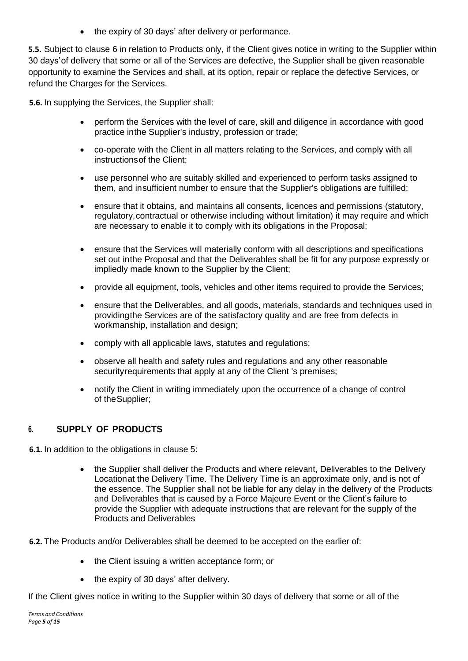• the expiry of 30 days' after delivery or performance.

**5.5.** Subject to clause 6 in relation to Products only, if the Client gives notice in writing to the Supplier within 30 days'of delivery that some or all of the Services are defective, the Supplier shall be given reasonable opportunity to examine the Services and shall, at its option, repair or replace the defective Services, or refund the Charges for the Services.

**5.6.** In supplying the Services, the Supplier shall:

- perform the Services with the level of care, skill and diligence in accordance with good practice inthe Supplier's industry, profession or trade;
- co-operate with the Client in all matters relating to the Services, and comply with all instructionsof the Client;
- use personnel who are suitably skilled and experienced to perform tasks assigned to them, and insufficient number to ensure that the Supplier's obligations are fulfilled;
- ensure that it obtains, and maintains all consents, licences and permissions (statutory, regulatory,contractual or otherwise including without limitation) it may require and which are necessary to enable it to comply with its obligations in the Proposal;
- ensure that the Services will materially conform with all descriptions and specifications set out inthe Proposal and that the Deliverables shall be fit for any purpose expressly or impliedly made known to the Supplier by the Client;
- provide all equipment, tools, vehicles and other items required to provide the Services;
- ensure that the Deliverables, and all goods, materials, standards and techniques used in providingthe Services are of the satisfactory quality and are free from defects in workmanship, installation and design;
- comply with all applicable laws, statutes and regulations;
- observe all health and safety rules and regulations and any other reasonable securityrequirements that apply at any of the Client 's premises;
- notify the Client in writing immediately upon the occurrence of a change of control of theSupplier;

#### **6. SUPPLY OF PRODUCTS**

<span id="page-4-0"></span>**6.1.** In addition to the obligations in clause 5:

• the Supplier shall deliver the Products and where relevant. Deliverables to the Delivery Locationat the Delivery Time. The Delivery Time is an approximate only, and is not of the essence. The Supplier shall not be liable for any delay in the delivery of the Products and Deliverables that is caused by a Force Majeure Event or the Client's failure to provide the Supplier with adequate instructions that are relevant for the supply of the Products and Deliverables

<span id="page-4-1"></span>**6.2.** The Products and/or Deliverables shall be deemed to be accepted on the earlier of:

- the Client issuing a written acceptance form; or
- the expiry of 30 days' after delivery.

If the Client gives notice in writing to the Supplier within 30 days of delivery that some or all of the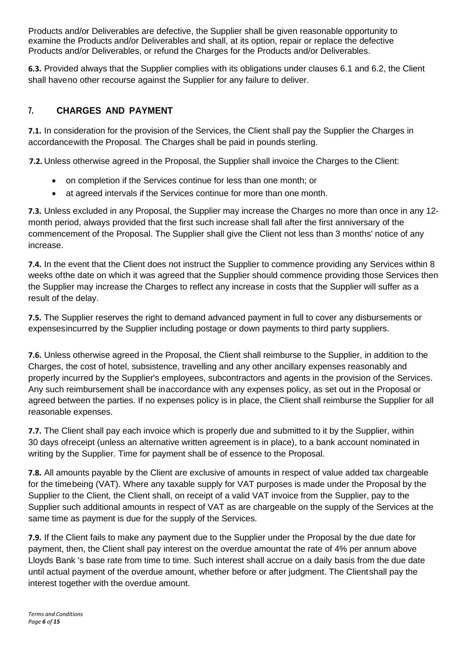Products and/or Deliverables are defective, the Supplier shall be given reasonable opportunity to examine the Products and/or Deliverables and shall, at its option, repair or replace the defective Products and/or Deliverables, or refund the Charges for the Products and/or Deliverables.

**6.3.** Provided always that the Supplier complies with its obligations under clauses [6.1 a](#page-4-0)nd [6.2, t](#page-4-1)he Client shall haveno other recourse against the Supplier for any failure to deliver.

#### **7. CHARGES AND PAYMENT**

**7.1.** In consideration for the provision of the Services, the Client shall pay the Supplier the Charges in accordancewith the Proposal. The Charges shall be paid in pounds sterling.

**7.2.** Unless otherwise agreed in the Proposal, the Supplier shall invoice the Charges to the Client:

- on completion if the Services continue for less than one month; or
- at agreed intervals if the Services continue for more than one month.

**7.3.** Unless excluded in any Proposal, the Supplier may increase the Charges no more than once in any 12 month period, always provided that the first such increase shall fall after the first anniversary of the commencement of the Proposal. The Supplier shall give the Client not less than 3 months' notice of any increase.

**7.4.** In the event that the Client does not instruct the Supplier to commence providing any Services within 8 weeks ofthe date on which it was agreed that the Supplier should commence providing those Services then the Supplier may increase the Charges to reflect any increase in costs that the Supplier will suffer as a result of the delay.

**7.5.** The Supplier reserves the right to demand advanced payment in full to cover any disbursements or expensesincurred by the Supplier including postage or down payments to third party suppliers.

**7.6.** Unless otherwise agreed in the Proposal, the Client shall reimburse to the Supplier, in addition to the Charges, the cost of hotel, subsistence, travelling and any other ancillary expenses reasonably and properly incurred by the Supplier's employees, subcontractors and agents in the provision of the Services. Any such reimbursement shall be inaccordance with any expenses policy, as set out in the Proposal or agreed between the parties. If no expenses policy is in place, the Client shall reimburse the Supplier for all reasonable expenses.

**7.7.** The Client shall pay each invoice which is properly due and submitted to it by the Supplier, within 30 days ofreceipt (unless an alternative written agreement is in place), to a bank account nominated in writing by the Supplier. Time for payment shall be of essence to the Proposal.

**7.8.** All amounts payable by the Client are exclusive of amounts in respect of value added tax chargeable for the timebeing (VAT). Where any taxable supply for VAT purposes is made under the Proposal by the Supplier to the Client, the Client shall, on receipt of a valid VAT invoice from the Supplier, pay to the Supplier such additional amounts in respect of VAT as are chargeable on the supply of the Services at the same time as payment is due for the supply of the Services.

**7.9.** If the Client fails to make any payment due to the Supplier under the Proposal by the due date for payment, then, the Client shall pay interest on the overdue amountat the rate of 4% per annum above Lloyds Bank 's base rate from time to time. Such interest shall accrue on a daily basis from the due date until actual payment of the overdue amount, whether before or after judgment. The Clientshall pay the interest together with the overdue amount.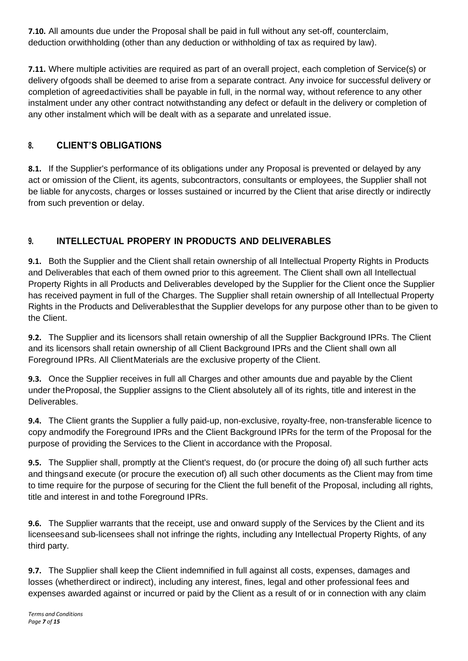**7.10.** All amounts due under the Proposal shall be paid in full without any set-off, counterclaim, deduction orwithholding (other than any deduction or withholding of tax as required by law).

**7.11.** Where multiple activities are required as part of an overall project, each completion of Service(s) or delivery ofgoods shall be deemed to arise from a separate contract. Any invoice for successful delivery or completion of agreedactivities shall be payable in full, in the normal way, without reference to any other instalment under any other contract notwithstanding any defect or default in the delivery or completion of any other instalment which will be dealt with as a separate and unrelated issue.

# **8. CLIENT'S OBLIGATIONS**

**8.1.** If the Supplier's performance of its obligations under any Proposal is prevented or delayed by any act or omission of the Client, its agents, subcontractors, consultants or employees, the Supplier shall not be liable for anycosts, charges or losses sustained or incurred by the Client that arise directly or indirectly from such prevention or delay.

# **9. INTELLECTUAL PROPERY IN PRODUCTS AND DELIVERABLES**

**9.1.** Both the Supplier and the Client shall retain ownership of all Intellectual Property Rights in Products and Deliverables that each of them owned prior to this agreement. The Client shall own all Intellectual Property Rights in all Products and Deliverables developed by the Supplier for the Client once the Supplier has received payment in full of the Charges. The Supplier shall retain ownership of all Intellectual Property Rights in the Products and Deliverablesthat the Supplier develops for any purpose other than to be given to the Client.

**9.2.** The Supplier and its licensors shall retain ownership of all the Supplier Background IPRs. The Client and its licensors shall retain ownership of all Client Background IPRs and the Client shall own all Foreground IPRs. All ClientMaterials are the exclusive property of the Client.

**9.3.** Once the Supplier receives in full all Charges and other amounts due and payable by the Client under theProposal, the Supplier assigns to the Client absolutely all of its rights, title and interest in the Deliverables.

**9.4.** The Client grants the Supplier a fully paid-up, non-exclusive, royalty-free, non-transferable licence to copy andmodify the Foreground IPRs and the Client Background IPRs for the term of the Proposal for the purpose of providing the Services to the Client in accordance with the Proposal.

**9.5.** The Supplier shall, promptly at the Client's request, do (or procure the doing of) all such further acts and thingsand execute (or procure the execution of) all such other documents as the Client may from time to time require for the purpose of securing for the Client the full benefit of the Proposal, including all rights, title and interest in and tothe Foreground IPRs.

**9.6.** The Supplier warrants that the receipt, use and onward supply of the Services by the Client and its licenseesand sub-licensees shall not infringe the rights, including any Intellectual Property Rights, of any third party.

**9.7.** The Supplier shall keep the Client indemnified in full against all costs, expenses, damages and losses (whetherdirect or indirect), including any interest, fines, legal and other professional fees and expenses awarded against or incurred or paid by the Client as a result of or in connection with any claim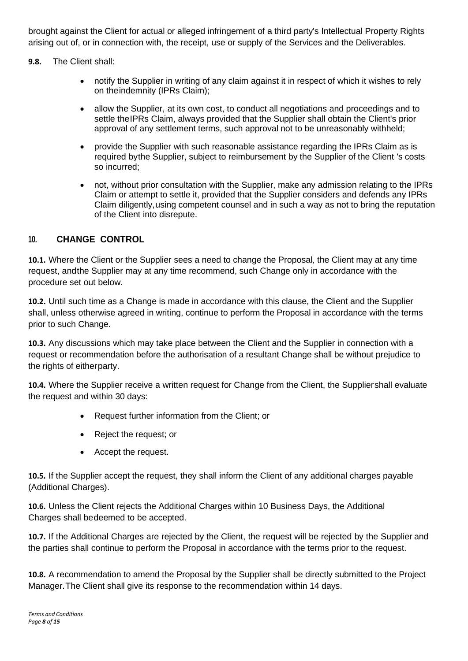brought against the Client for actual or alleged infringement of a third party's Intellectual Property Rights arising out of, or in connection with, the receipt, use or supply of the Services and the Deliverables.

**9.8.** The Client shall:

- notify the Supplier in writing of any claim against it in respect of which it wishes to rely on theindemnity (IPRs Claim);
- allow the Supplier, at its own cost, to conduct all negotiations and proceedings and to settle theIPRs Claim, always provided that the Supplier shall obtain the Client's prior approval of any settlement terms, such approval not to be unreasonably withheld;
- provide the Supplier with such reasonable assistance regarding the IPRs Claim as is required bythe Supplier, subject to reimbursement by the Supplier of the Client 's costs so incurred;
- not, without prior consultation with the Supplier, make any admission relating to the IPRs Claim or attempt to settle it, provided that the Supplier considers and defends any IPRs Claim diligently,using competent counsel and in such a way as not to bring the reputation of the Client into disrepute.

#### **10. CHANGE CONTROL**

**10.1.** Where the Client or the Supplier sees a need to change the Proposal, the Client may at any time request, andthe Supplier may at any time recommend, such Change only in accordance with the procedure set out below.

**10.2.** Until such time as a Change is made in accordance with this clause, the Client and the Supplier shall, unless otherwise agreed in writing, continue to perform the Proposal in accordance with the terms prior to such Change.

**10.3.** Any discussions which may take place between the Client and the Supplier in connection with a request or recommendation before the authorisation of a resultant Change shall be without prejudice to the rights of eitherparty.

**10.4.** Where the Supplier receive a written request for Change from the Client, the Suppliershall evaluate the request and within 30 days:

- Request further information from the Client; or
- Reject the request; or
- Accept the request.

**10.5.** If the Supplier accept the request, they shall inform the Client of any additional charges payable (Additional Charges).

**10.6.** Unless the Client rejects the Additional Charges within 10 Business Days, the Additional Charges shall bedeemed to be accepted.

**10.7.** If the Additional Charges are rejected by the Client, the request will be rejected by the Supplier and the parties shall continue to perform the Proposal in accordance with the terms prior to the request.

**10.8.** A recommendation to amend the Proposal by the Supplier shall be directly submitted to the Project Manager.The Client shall give its response to the recommendation within 14 days.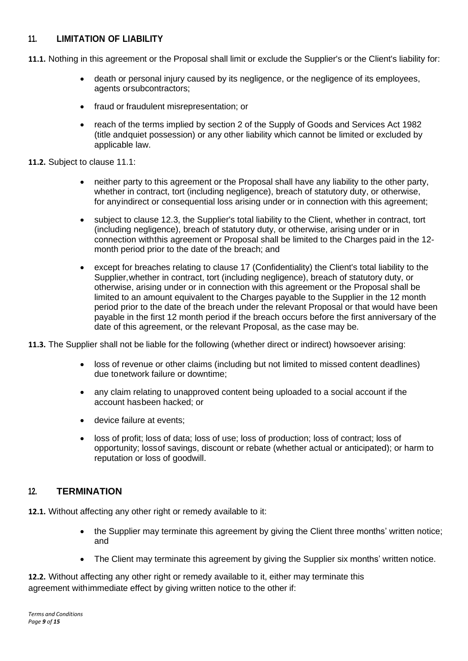#### **11. LIMITATION OF LIABILITY**

- <span id="page-8-0"></span>**11.1.** Nothing in this agreement or the Proposal shall limit or exclude the Supplier's or the Client's liability for:
	- death or personal injury caused by its negligence, or the negligence of its employees, agents orsubcontractors;
	- fraud or fraudulent misrepresentation; or
	- reach of the terms implied by section 2 of the Supply of Goods and Services Act 1982 (title andquiet possession) or any other liability which cannot be limited or excluded by applicable law.
- **11.2.** Subject to clause [11.1:](#page-8-0)
	- neither party to this agreement or the Proposal shall have any liability to the other party, whether in contract, tort (including negligence), breach of statutory duty, or otherwise, for anyindirect or consequential loss arising under or in connection with this agreement;
	- subject to clause [12.3, t](#page-8-1)he Supplier's total liability to the Client, whether in contract, tort (including negligence), breach of statutory duty, or otherwise, arising under or in connection withthis agreement or Proposal shall be limited to the Charges paid in the 12 month period prior to the date of the breach; and
	- except for breaches relating to clause 17 (Confidentiality) the Client's total liability to the Supplier,whether in contract, tort (including negligence), breach of statutory duty, or otherwise, arising under or in connection with this agreement or the Proposal shall be limited to an amount equivalent to the Charges payable to the Supplier in the 12 month period prior to the date of the breach under the relevant Proposal or that would have been payable in the first 12 month period if the breach occurs before the first anniversary of the date of this agreement, or the relevant Proposal, as the case may be.
- <span id="page-8-1"></span>**11.3.** The Supplier shall not be liable for the following (whether direct or indirect) howsoever arising:
	- loss of revenue or other claims (including but not limited to missed content deadlines) due tonetwork failure or downtime;
	- any claim relating to unapproved content being uploaded to a social account if the account hasbeen hacked; or
	- device failure at events;
	- loss of profit; loss of data; loss of use; loss of production; loss of contract; loss of opportunity; lossof savings, discount or rebate (whether actual or anticipated); or harm to reputation or loss of goodwill.

#### **12. TERMINATION**

**12.1.** Without affecting any other right or remedy available to it:

- the Supplier may terminate this agreement by giving the Client three months' written notice; and
- The Client may terminate this agreement by giving the Supplier six months' written notice.

**12.2.** Without affecting any other right or remedy available to it, either may terminate this agreement withimmediate effect by giving written notice to the other if: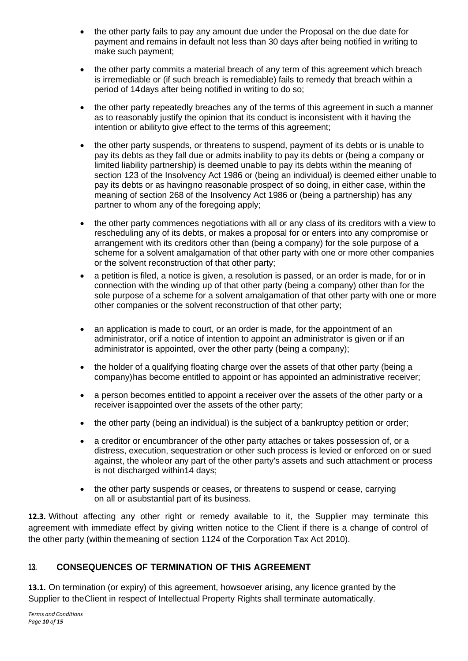- the other party fails to pay any amount due under the Proposal on the due date for payment and remains in default not less than 30 days after being notified in writing to make such payment;
- the other party commits a material breach of any term of this agreement which breach is irremediable or (if such breach is remediable) fails to remedy that breach within a period of 14days after being notified in writing to do so;
- the other party repeatedly breaches any of the terms of this agreement in such a manner as to reasonably justify the opinion that its conduct is inconsistent with it having the intention or abilityto give effect to the terms of this agreement;
- the other party suspends, or threatens to suspend, payment of its debts or is unable to pay its debts as they fall due or admits inability to pay its debts or (being a company or limited liability partnership) is deemed unable to pay its debts within the meaning of section 123 of the Insolvency Act 1986 or (being an individual) is deemed either unable to pay its debts or as havingno reasonable prospect of so doing, in either case, within the meaning of section 268 of the Insolvency Act 1986 or (being a partnership) has any partner to whom any of the foregoing apply;
- the other party commences negotiations with all or any class of its creditors with a view to rescheduling any of its debts, or makes a proposal for or enters into any compromise or arrangement with its creditors other than (being a company) for the sole purpose of a scheme for a solvent amalgamation of that other party with one or more other companies or the solvent reconstruction of that other party;
- a petition is filed, a notice is given, a resolution is passed, or an order is made, for or in connection with the winding up of that other party (being a company) other than for the sole purpose of a scheme for a solvent amalgamation of that other party with one or more other companies or the solvent reconstruction of that other party;
- an application is made to court, or an order is made, for the appointment of an administrator, orif a notice of intention to appoint an administrator is given or if an administrator is appointed, over the other party (being a company);
- the holder of a qualifying floating charge over the assets of that other party (being a company)has become entitled to appoint or has appointed an administrative receiver;
- a person becomes entitled to appoint a receiver over the assets of the other party or a receiver isappointed over the assets of the other party;
- the other party (being an individual) is the subject of a bankruptcy petition or order;
- a creditor or encumbrancer of the other party attaches or takes possession of, or a distress, execution, sequestration or other such process is levied or enforced on or sued against, the wholeor any part of the other party's assets and such attachment or process is not discharged within14 days;
- the other party suspends or ceases, or threatens to suspend or cease, carrying on all or asubstantial part of its business.

**12.3.** Without affecting any other right or remedy available to it, the Supplier may terminate this agreement with immediate effect by giving written notice to the Client if there is a change of control of the other party (within themeaning of section 1124 of the Corporation Tax Act 2010).

#### **13. CONSEQUENCES OF TERMINATION OF THIS AGREEMENT**

**13.1.** On termination (or expiry) of this agreement, howsoever arising, any licence granted by the Supplier to theClient in respect of Intellectual Property Rights shall terminate automatically.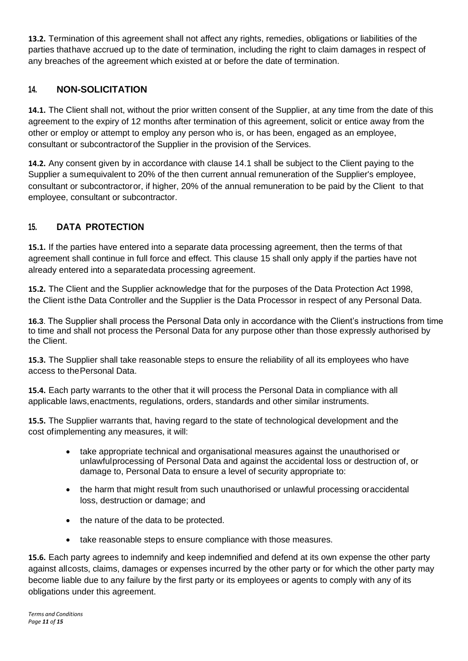**13.2.** Termination of this agreement shall not affect any rights, remedies, obligations or liabilities of the parties thathave accrued up to the date of termination, including the right to claim damages in respect of any breaches of the agreement which existed at or before the date of termination.

#### **14. NON-SOLICITATION**

<span id="page-10-0"></span>**14.1.** The Client shall not, without the prior written consent of the Supplier, at any time from the date of this agreement to the expiry of 12 months after termination of this agreement, solicit or entice away from the other or employ or attempt to employ any person who is, or has been, engaged as an employee, consultant or subcontractorof the Supplier in the provision of the Services.

**14.2.** Any consent given by in accordance with clause [14.1 s](#page-10-0)hall be subject to the Client paying to the Supplier a sumequivalent to 20% of the then current annual remuneration of the Supplier's employee, consultant or subcontractoror, if higher, 20% of the annual remuneration to be paid by the Client to that employee, consultant or subcontractor.

# **15. DATA PROTECTION**

**15.1.** If the parties have entered into a separate data processing agreement, then the terms of that agreement shall continue in full force and effect. This clause 15 shall only apply if the parties have not already entered into a separatedata processing agreement.

**15.2.** The Client and the Supplier acknowledge that for the purposes of the Data Protection Act 1998, the Client isthe Data Controller and the Supplier is the Data Processor in respect of any Personal Data.

**16.3**. The Supplier shall process the Personal Data only in accordance with the Client's instructions from time to time and shall not process the Personal Data for any purpose other than those expressly authorised by the Client.

**15.3.** The Supplier shall take reasonable steps to ensure the reliability of all its employees who have access to thePersonal Data.

**15.4.** Each party warrants to the other that it will process the Personal Data in compliance with all applicable laws,enactments, regulations, orders, standards and other similar instruments.

**15.5.** The Supplier warrants that, having regard to the state of technological development and the cost ofimplementing any measures, it will:

- take appropriate technical and organisational measures against the unauthorised or unlawfulprocessing of Personal Data and against the accidental loss or destruction of, or damage to, Personal Data to ensure a level of security appropriate to:
- the harm that might result from such unauthorised or unlawful processing oraccidental loss, destruction or damage; and
- the nature of the data to be protected.
- take reasonable steps to ensure compliance with those measures.

**15.6.** Each party agrees to indemnify and keep indemnified and defend at its own expense the other party against allcosts, claims, damages or expenses incurred by the other party or for which the other party may become liable due to any failure by the first party or its employees or agents to comply with any of its obligations under this agreement.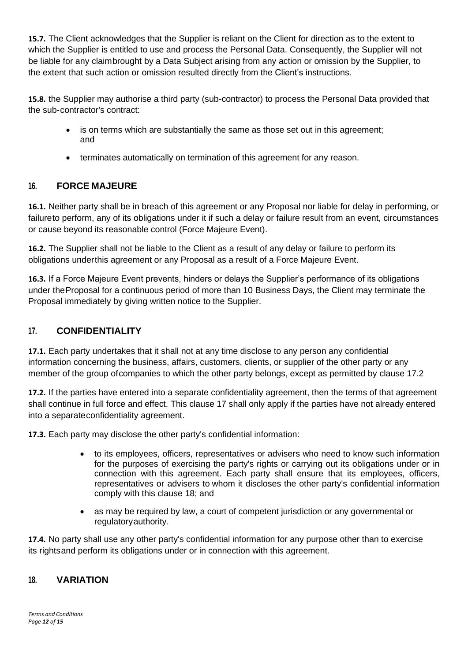**15.7.** The Client acknowledges that the Supplier is reliant on the Client for direction as to the extent to which the Supplier is entitled to use and process the Personal Data. Consequently, the Supplier will not be liable for any claimbrought by a Data Subject arising from any action or omission by the Supplier, to the extent that such action or omission resulted directly from the Client's instructions.

**15.8.** the Supplier may authorise a third party (sub-contractor) to process the Personal Data provided that the sub-contractor's contract:

- is on terms which are substantially the same as those set out in this agreement; and
- terminates automatically on termination of this agreement for any reason.

#### **16. FORCE MAJEURE**

**16.1.** Neither party shall be in breach of this agreement or any Proposal nor liable for delay in performing, or failureto perform, any of its obligations under it if such a delay or failure result from an event, circumstances or cause beyond its reasonable control (Force Majeure Event).

**16.2.** The Supplier shall not be liable to the Client as a result of any delay or failure to perform its obligations underthis agreement or any Proposal as a result of a Force Majeure Event.

**16.3.** If a Force Majeure Event prevents, hinders or delays the Supplier's performance of its obligations under theProposal for a continuous period of more than 10 Business Days, the Client may terminate the Proposal immediately by giving written notice to the Supplier.

#### **17. CONFIDENTIALITY**

**17.1.** Each party undertakes that it shall not at any time disclose to any person any confidential information concerning the business, affairs, customers, clients, or supplier of the other party or any member of the group ofcompanies to which the other party belongs, except as permitted by clause 17.2

**17.2.** If the parties have entered into a separate confidentiality agreement, then the terms of that agreement shall continue in full force and effect. This clause 17 shall only apply if the parties have not already entered into a separateconfidentiality agreement.

**17.3.** Each party may disclose the other party's confidential information:

- to its employees, officers, representatives or advisers who need to know such information for the purposes of exercising the party's rights or carrying out its obligations under or in connection with this agreement. Each party shall ensure that its employees, officers, representatives or advisers to whom it discloses the other party's confidential information comply with this clause 18; and
- as may be required by law, a court of competent jurisdiction or any governmental or regulatoryauthority.

**17.4.** No party shall use any other party's confidential information for any purpose other than to exercise its rightsand perform its obligations under or in connection with this agreement.

#### **18. VARIATION**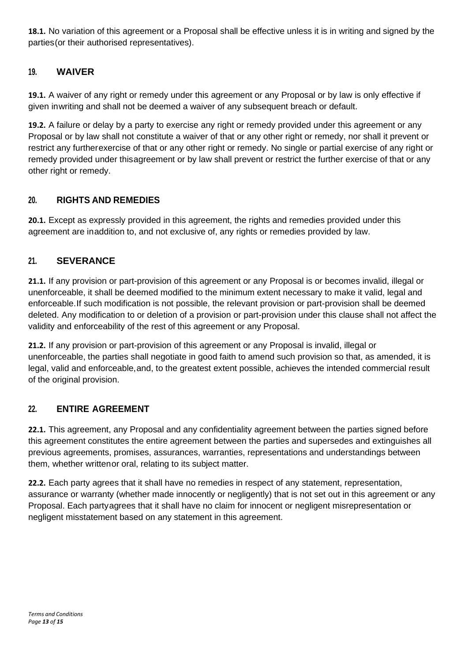**18.1.** No variation of this agreement or a Proposal shall be effective unless it is in writing and signed by the parties(or their authorised representatives).

#### **19. WAIVER**

**19.1.** A waiver of any right or remedy under this agreement or any Proposal or by law is only effective if given inwriting and shall not be deemed a waiver of any subsequent breach or default.

**19.2.** A failure or delay by a party to exercise any right or remedy provided under this agreement or any Proposal or by law shall not constitute a waiver of that or any other right or remedy, nor shall it prevent or restrict any furtherexercise of that or any other right or remedy. No single or partial exercise of any right or remedy provided under thisagreement or by law shall prevent or restrict the further exercise of that or any other right or remedy.

#### **20. RIGHTS AND REMEDIES**

**20.1.** Except as expressly provided in this agreement, the rights and remedies provided under this agreement are inaddition to, and not exclusive of, any rights or remedies provided by law.

# **21. SEVERANCE**

**21.1.** If any provision or part-provision of this agreement or any Proposal is or becomes invalid, illegal or unenforceable, it shall be deemed modified to the minimum extent necessary to make it valid, legal and enforceable.If such modification is not possible, the relevant provision or part-provision shall be deemed deleted. Any modification to or deletion of a provision or part-provision under this clause shall not affect the validity and enforceability of the rest of this agreement or any Proposal.

**21.2.** If any provision or part-provision of this agreement or any Proposal is invalid, illegal or unenforceable, the parties shall negotiate in good faith to amend such provision so that, as amended, it is legal, valid and enforceable, and, to the greatest extent possible, achieves the intended commercial result of the original provision.

#### **22. ENTIRE AGREEMENT**

**22.1.** This agreement, any Proposal and any confidentiality agreement between the parties signed before this agreement constitutes the entire agreement between the parties and supersedes and extinguishes all previous agreements, promises, assurances, warranties, representations and understandings between them, whether writtenor oral, relating to its subject matter.

**22.2.** Each party agrees that it shall have no remedies in respect of any statement, representation, assurance or warranty (whether made innocently or negligently) that is not set out in this agreement or any Proposal. Each partyagrees that it shall have no claim for innocent or negligent misrepresentation or negligent misstatement based on any statement in this agreement.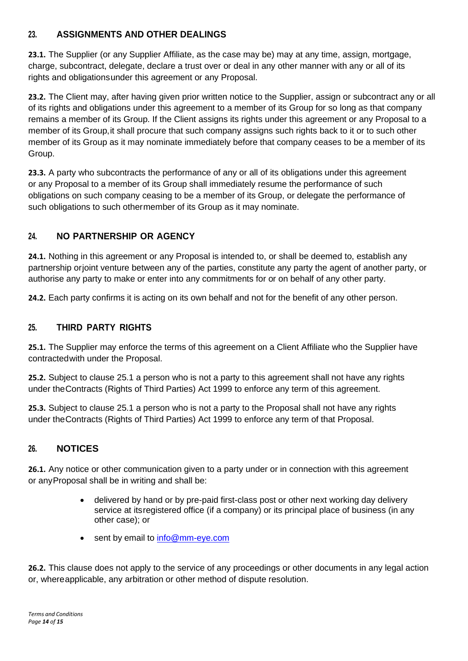# **23. ASSIGNMENTS AND OTHER DEALINGS**

**23.1.** The Supplier (or any Supplier Affiliate, as the case may be) may at any time, assign, mortgage, charge, subcontract, delegate, declare a trust over or deal in any other manner with any or all of its rights and obligationsunder this agreement or any Proposal.

**23.2.** The Client may, after having given prior written notice to the Supplier, assign or subcontract any or all of its rights and obligations under this agreement to a member of its Group for so long as that company remains a member of its Group. If the Client assigns its rights under this agreement or any Proposal to a member of its Group,it shall procure that such company assigns such rights back to it or to such other member of its Group as it may nominate immediately before that company ceases to be a member of its Group.

**23.3.** A party who subcontracts the performance of any or all of its obligations under this agreement or any Proposal to a member of its Group shall immediately resume the performance of such obligations on such company ceasing to be a member of its Group, or delegate the performance of such obligations to such othermember of its Group as it may nominate.

# **24. NO PARTNERSHIP OR AGENCY**

**24.1.** Nothing in this agreement or any Proposal is intended to, or shall be deemed to, establish any partnership orjoint venture between any of the parties, constitute any party the agent of another party, or authorise any party to make or enter into any commitments for or on behalf of any other party.

**24.2.** Each party confirms it is acting on its own behalf and not for the benefit of any other person.

#### **25. THIRD PARTY RIGHTS**

<span id="page-13-0"></span>**25.1.** The Supplier may enforce the terms of this agreement on a Client Affiliate who the Supplier have contractedwith under the Proposal.

**25.2.** Subject to clause [25.1 a](#page-13-0) person who is not a party to this agreement shall not have any rights under theContracts (Rights of Third Parties) Act 1999 to enforce any term of this agreement.

**25.3.** Subject to clause [25.1 a](#page-13-0) person who is not a party to the Proposal shall not have any rights under theContracts (Rights of Third Parties) Act 1999 to enforce any term of that Proposal.

#### **26. NOTICES**

**26.1.** Any notice or other communication given to a party under or in connection with this agreement or anyProposal shall be in writing and shall be:

- delivered by hand or by pre-paid first-class post or other next working day delivery service at itsregistered office (if a company) or its principal place of business (in any other case); or
- sent by email to [info@mm-eye.com](mailto:info@mm-eye.com)

**26.2.** This clause does not apply to the service of any proceedings or other documents in any legal action or, whereapplicable, any arbitration or other method of dispute resolution.